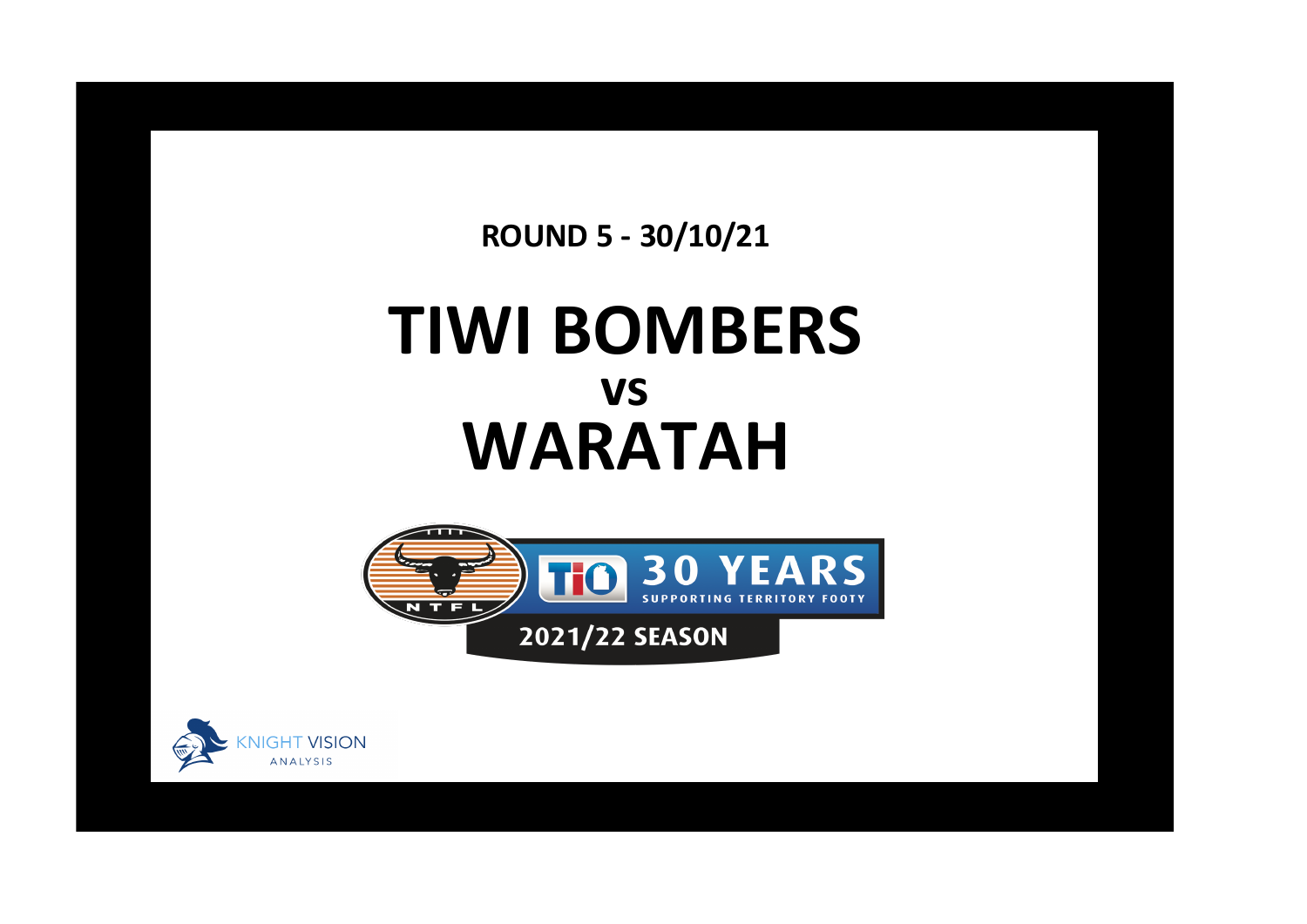**ROUND 5 - 30/10/21**

## **TIWI BOMBERS WARATAH vs**



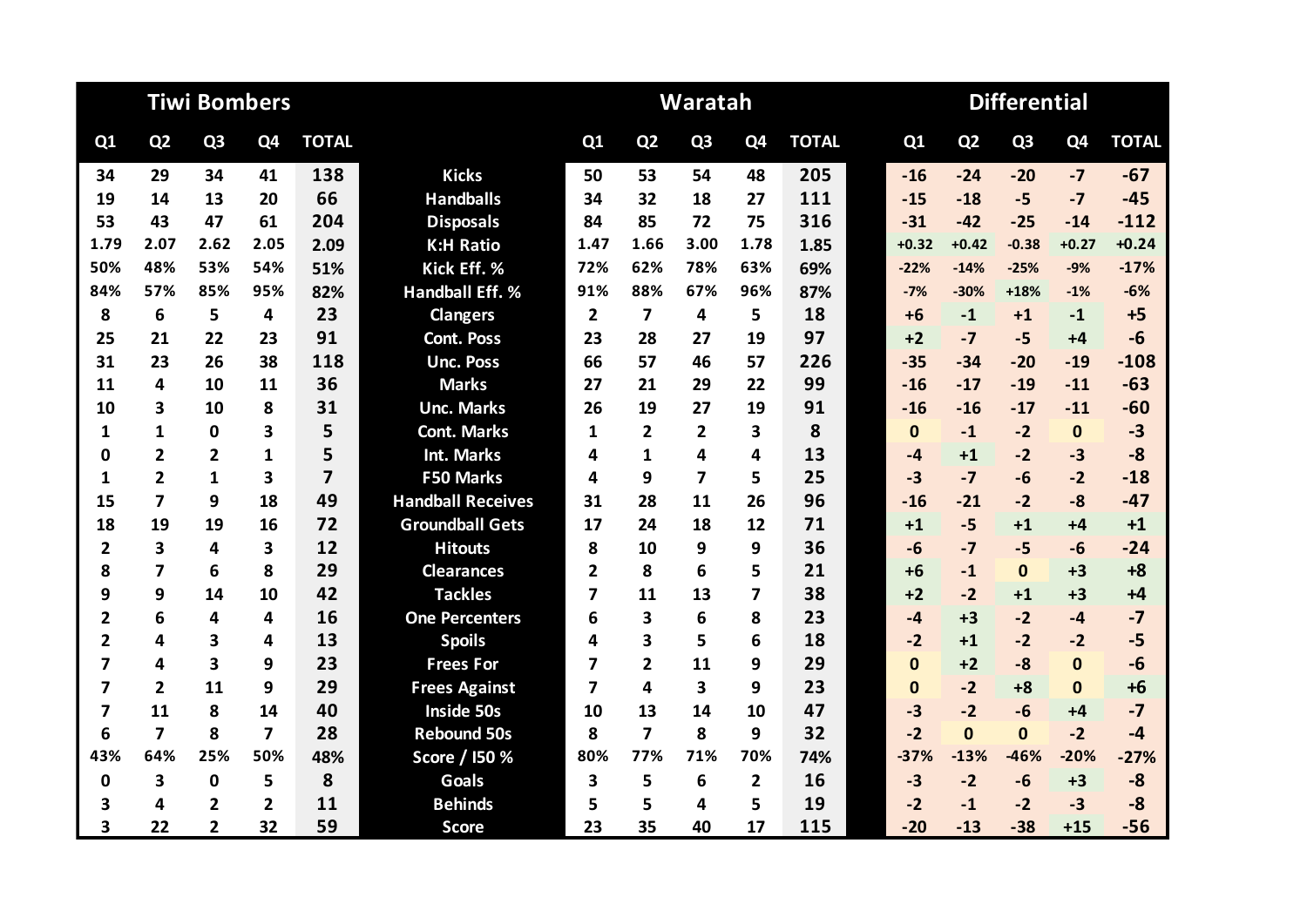|                         |                         | <b>Tiwi Bombers</b> |                |                |                          |                |                         | Waratah        |                |              | <b>Differential</b> |                |                |                |              |  |  |
|-------------------------|-------------------------|---------------------|----------------|----------------|--------------------------|----------------|-------------------------|----------------|----------------|--------------|---------------------|----------------|----------------|----------------|--------------|--|--|
| Q1                      | Q <sub>2</sub>          | Q <sub>3</sub>      | Q4             | <b>TOTAL</b>   |                          | Q1             | Q <sub>2</sub>          | Q <sub>3</sub> | Q <sub>4</sub> | <b>TOTAL</b> | Q1                  | Q <sub>2</sub> | Q <sub>3</sub> | Q <sub>4</sub> | <b>TOTAL</b> |  |  |
| 34                      | 29                      | 34                  | 41             | 138            | <b>Kicks</b>             | 50             | 53                      | 54             | 48             | 205          | $-16$               | $-24$          | $-20$          | $-7$           | $-67$        |  |  |
| 19                      | 14                      | 13                  | 20             | 66             | <b>Handballs</b>         | 34             | 32                      | 18             | 27             | 111          | $-15$               | $-18$          | $-5$           | $-7$           | $-45$        |  |  |
| 53                      | 43                      | 47                  | 61             | 204            | <b>Disposals</b>         | 84             | 85                      | 72             | 75             | 316          | $-31$               | $-42$          | $-25$          | $-14$          | $-112$       |  |  |
| 1.79                    | 2.07                    | 2.62                | 2.05           | 2.09           | <b>K:H Ratio</b>         | 1.47           | 1.66                    | 3.00           | 1.78           | 1.85         | $+0.32$             | $+0.42$        | $-0.38$        | $+0.27$        | $+0.24$      |  |  |
| 50%                     | 48%                     | 53%                 | 54%            | 51%            | Kick Eff. %              | 72%            | 62%                     | 78%            | 63%            | 69%          | $-22%$              | $-14%$         | $-25%$         | $-9%$          | $-17%$       |  |  |
| 84%                     | 57%                     | 85%                 | 95%            | 82%            | <b>Handball Eff. %</b>   | 91%            | 88%                     | 67%            | 96%            | 87%          | $-7%$               | $-30%$         | $+18%$         | $-1%$          | $-6%$        |  |  |
| 8                       | 6                       | 5                   | 4              | 23             | <b>Clangers</b>          | $\overline{2}$ | $\overline{\mathbf{z}}$ | 4              | 5              | 18           | $+6$                | $-1$           | $+1$           | $-1$           | $+5$         |  |  |
| 25                      | 21                      | 22                  | 23             | 91             | <b>Cont. Poss</b>        | 23             | 28                      | 27             | 19             | 97           | $+2$                | $-7$           | $-5$           | $+4$           | $-6$         |  |  |
| 31                      | 23                      | 26                  | 38             | 118            | <b>Unc. Poss</b>         | 66             | 57                      | 46             | 57             | 226          | $-35$               | $-34$          | $-20$          | $-19$          | $-108$       |  |  |
| 11                      | 4                       | 10                  | 11             | 36             | <b>Marks</b>             | 27             | 21                      | 29             | 22             | 99           | $-16$               | $-17$          | $-19$          | $-11$          | $-63$        |  |  |
| 10                      | 3                       | 10                  | 8              | 31             | <b>Unc. Marks</b>        | 26             | 19                      | 27             | 19             | 91           | $-16$               | $-16$          | $-17$          | $-11$          | $-60$        |  |  |
| 1                       | $\mathbf{1}$            | $\mathbf 0$         | 3              | 5              | <b>Cont. Marks</b>       | 1              | $\overline{2}$          | $\overline{2}$ | 3              | 8            | $\mathbf{0}$        | $-1$           | $-2$           | $\mathbf{0}$   | $-3$         |  |  |
| 0                       | $\overline{2}$          | $\overline{2}$      | $\mathbf{1}$   | 5              | Int. Marks               | 4              | $\mathbf{1}$            | 4              | 4              | 13           | $-4$                | $+1$           | $-2$           | $-3$           | $-8$         |  |  |
| 1                       | $\overline{2}$          | 1                   | 3              | $\overline{7}$ | <b>F50 Marks</b>         | 4              | 9                       | 7              | 5              | 25           | $-3$                | $-7$           | $-6$           | $-2$           | $-18$        |  |  |
| 15                      | $\overline{\mathbf{z}}$ | 9                   | 18             | 49             | <b>Handball Receives</b> | 31             | 28                      | 11             | 26             | 96           | $-16$               | $-21$          | $-2$           | $-8$           | $-47$        |  |  |
| 18                      | 19                      | 19                  | 16             | 72             | <b>Groundball Gets</b>   | 17             | 24                      | 18             | 12             | 71           | $+1$                | $-5$           | $+1$           | $+4$           | $+1$         |  |  |
| $\overline{\mathbf{2}}$ | 3                       | 4                   | 3              | 12             | <b>Hitouts</b>           | 8              | 10                      | 9              | 9              | 36           | $-6$                | $-7$           | $-5$           | $-6$           | $-24$        |  |  |
| 8                       | $\overline{7}$          | 6                   | 8              | 29             | <b>Clearances</b>        | $\overline{2}$ | 8                       | 6              | 5              | 21           | $+6$                | $-1$           | $\Omega$       | $+3$           | $+8$         |  |  |
| 9                       | 9                       | 14                  | 10             | 42             | <b>Tackles</b>           | 7              | 11                      | 13             | 7              | 38           | $+2$                | $-2$           | $+1$           | $+3$           | $+4$         |  |  |
| $\overline{2}$          | 6                       | 4                   | 4              | 16             | <b>One Percenters</b>    | 6              | 3                       | 6              | 8              | 23           | $-4$                | $+3$           | $-2$           | $-4$           | $-7$         |  |  |
| $\mathbf{2}$            | 4                       | 3                   | 4              | 13             | <b>Spoils</b>            | 4              | 3                       | 5              | 6              | 18           | $-2$                | $+1$           | $-2$           | $-2$           | $-5$         |  |  |
| 7                       | 4                       | 3                   | 9              | 23             | <b>Frees For</b>         | 7              | $\overline{2}$          | 11             | 9              | 29           | $\Omega$            | $+2$           | $-8$           | $\mathbf{0}$   | $-6$         |  |  |
| 7                       | $\overline{2}$          | 11                  | 9              | 29             | <b>Frees Against</b>     | 7              | 4                       | 3              | 9              | 23           | $\mathbf{0}$        | $-2$           | $+8$           | $\bf{0}$       | $+6$         |  |  |
| $\overline{\mathbf{z}}$ | 11                      | 8                   | 14             | 40             | <b>Inside 50s</b>        | 10             | 13                      | 14             | 10             | 47           | $-3$                | $-2$           | $-6$           | $+4$           | $-7$         |  |  |
| 6                       | $\overline{7}$          | 8                   | 7              | 28             | <b>Rebound 50s</b>       | 8              | $\overline{7}$          | 8              | 9              | 32           | $-2$                | $\Omega$       | $\Omega$       | $-2$           | $-4$         |  |  |
| 43%                     | 64%                     | 25%                 | 50%            | 48%            | Score / I50 %            | 80%            | 77%                     | 71%            | 70%            | 74%          | $-37%$              | $-13%$         | $-46%$         | $-20%$         | $-27%$       |  |  |
| $\mathbf 0$             | 3                       | $\mathbf 0$         | 5              | 8              | <b>Goals</b>             | 3              | 5                       | 6              | $\overline{2}$ | 16           | $-3$                | $-2$           | $-6$           | $+3$           | $-8$         |  |  |
| 3                       | 4                       | 2                   | $\overline{2}$ | 11             | <b>Behinds</b>           | 5              | 5                       | 4              | 5              | 19           | $-2$                | $-1$           | $-2$           | $-3$           | $-8$         |  |  |
| $\overline{\mathbf{3}}$ | 22                      | $\overline{2}$      | 32             | 59             | <b>Score</b>             | 23             | 35                      | 40             | 17             | 115          | $-20$               | $-13$          | $-38$          | $+15$          | $-56$        |  |  |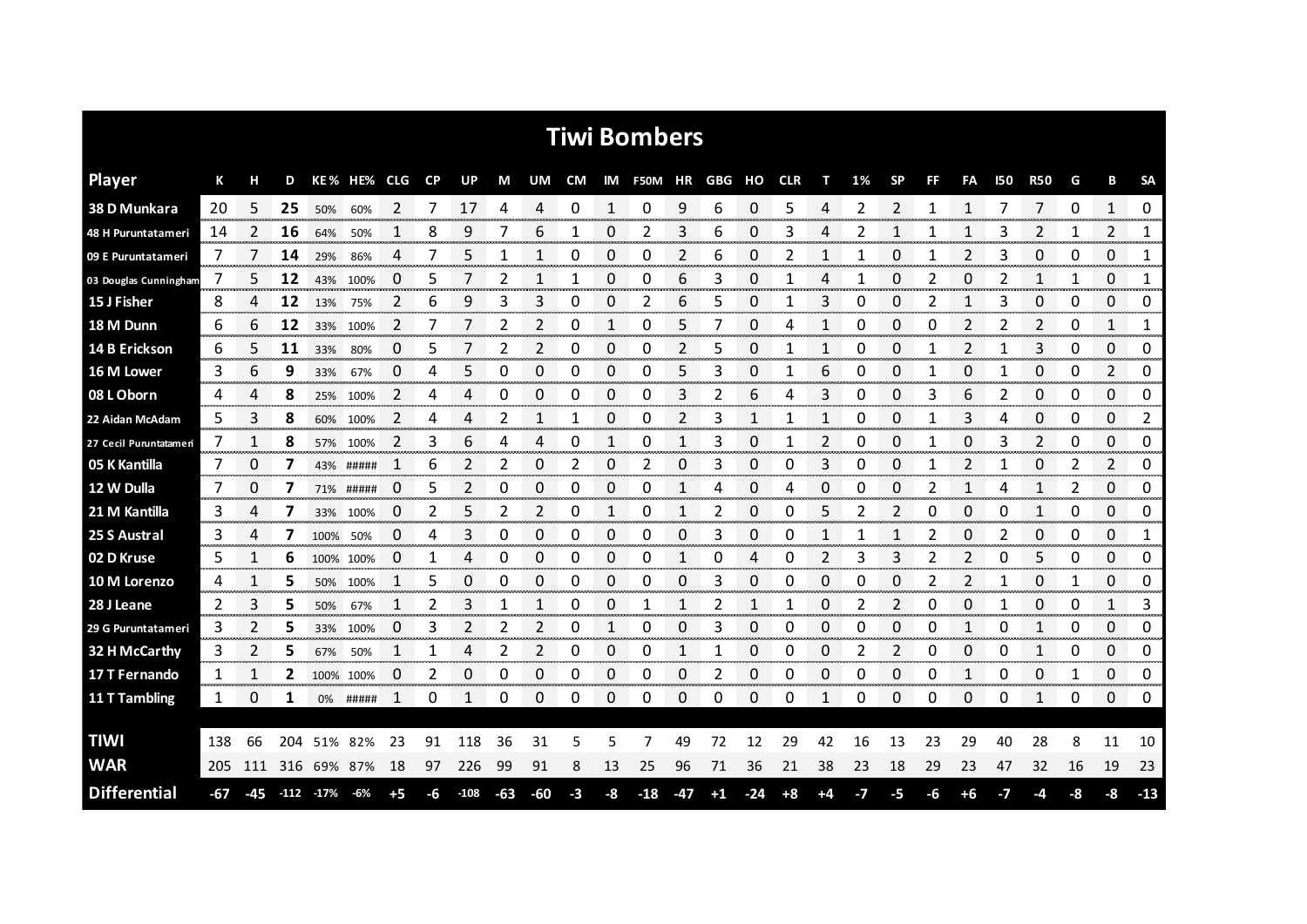| <b>Tiwi Bombers</b>    |     |       |     |            |           |                |           |        |       |     |      |            |                |     |      |       |            |      |    |           |    |              |     |                |    |              |                    |
|------------------------|-----|-------|-----|------------|-----------|----------------|-----------|--------|-------|-----|------|------------|----------------|-----|------|-------|------------|------|----|-----------|----|--------------|-----|----------------|----|--------------|--------------------|
| <b>Player</b>          | К   | н     | D   |            | KE% HE%   | CLG            | <b>CP</b> | UP     | M     | UM  | CM   |            | IM F50M HR GBG |     |      | ΗО    | <b>CLR</b> | т    | 1% | <b>SP</b> | FF | FA           | 150 | <b>R50</b>     | G  | в            | <b>SA</b>          |
| 38 D Munkara           | 20  | 5     | 25  | 50%        | 60%       | 2              |           | 17     | 4     | 4   | 0    | 1          | 0              | 9   | 6    | 0     | 5          |      |    | 2         | 1  | 1            |     | 7              | Ω  | 1            | 0                  |
| 48 H Puruntatameri     | 14  | 2     | 16  | 64%        | 50%       | 1              | 8         | 9      |       | 6   | 1    | 0          | 2              | 3   | 6    | 0     | 3          | 4    | 2  | 1         | 1  | 1            | 3   | 2              | 1  | 2            | <br>1<br>ananana a |
| 09 E Puruntatameri     | 7   |       | 14  | 29%        | 86%       | 4              |           | 5      | 1     |     | 0    | 0          | 0              | 2   | 6    | 0     | 2          |      |    | 0         |    | 2            | 3   | 0              | 0  | 0            | 1                  |
| 03 Douglas Cunningham  | 7   | 5     | 12  | 43%        | 100%      | 0              | 5         | 7      | 2     | 1   | 1    | 0          | 0              | 6   | 3    | 0     | 1          | 4    | 1  | 0         | 2  | 0            | 2   | 1              | 1  | 0            | 1                  |
| 15 J Fisher            | 8   | 4     | 12  | 13%        | 75%       | $\overline{2}$ | 6         | 9      | 3     | 3   | 0    | 0          | 2              | 6   | 5    | 0     | 1          | 3    | 0  | 0         | 2  | $\mathbf{1}$ | 3   | 0              | 0  | 0            | 0                  |
| 18 M Dunn              | 6   | 6     | 12  | 33%        | 100%      | 2              | 7         | 7      | 2     | 2   | 0    | 1          | 0              | 5   | 7    | 0     | 4          | 1    | 0  | 0         | 0  | 2            | 2   | 2              | 0  | $\mathbf{1}$ | 1                  |
| 14 B Erickson          | 6   | 5     | 11  | 33%        | 80%       | 0              | 5         |        | 2     | 2   | 0    | 0          | 0              | 2   | 5    | 0     | 1          | 1    | 0  | 0         | 1  | 2            |     | 3              | 0  | 0            | 0                  |
| 16 M Lower             | 3   | 6     | 9   | 33%        | 67%       | 0              | 4         | 5      | 0     | 0   | 0    | 0          | 0              | 5   | 3    | 0     | 1          | 6    | 0  | 0         | 1  | 0            | 1   | 0              | 0  | 2            | $\mathbf 0$        |
| 08 L Oborn             | 4   | 4     | 8   |            | 25% 100%  | 2              | 4         | 4      | 0     | 0   | 0    | 0          | 0              | 3   | 2    | 6     | 4          | 3    | 0  | 0         | 3  | 6            | 2   | 0              | 0  | $\Omega$     | 0                  |
| 22 Aidan McAdam        | 5   | 3     | 8   | 60%        | 100%      | 2              | 4         | 4      | 2     | 1   | 1    | 0          | 0              | 2   | 3    | 1     | 1          | 1    | 0  | 0         | 1  | 3            | 4   | 0              | 0  | $\Omega$     | 2                  |
| 27 Cecil Puruntatameri | 7   |       | 8   | 57%        | 100%      | $\overline{2}$ | 3         | 6      | 4     | 4   | 0    |            | 0              |     | 3    | 0     |            | 2    | 0  | 0         |    | 0            | 3   | $\overline{2}$ | 0  | 0            | 0                  |
| 05 K Kantilla          | 7   | 0     | 7   |            | 43% ##### |                | 6         | 2      | 2     | 0   | 2    | 0          | 2              | 0   | 3    | 0     | 0          | 3    | 0  | 0         | 1  | 2            |     | 0              | 2  | 2            | 0                  |
| 12 W Dulla             | 7   | 0     |     |            | 71% ##### | 0              | 5         | 2      | 0     | 0   | 0    | 0          | 0              |     | 4    | 0     | 4          | 0    | O  | 0         | 2  | $\mathbf{1}$ | 4   |                | 2  | 0            | 0                  |
| 21 M Kantilla          | 3   | 4     |     | 33%        | 100%      | 0              | 2         | 5      | 2     | 2   | 0    | 1          | 0              |     | 2    | 0     | O          | 5    | 2  | 2         | 0  | 0            | 0   |                | 0  | 0            | 0<br>mmmmm         |
| 25 S Austral           | 3   | 4     |     | 100%       | 50%       | 0              | 4         | 3      | 0     | 0   | 0    | 0          | 0              | 0   | 3    | 0     | 0          |      |    |           | 2  | 0            | 2   | 0              | 0  | 0            | 1<br>an mara       |
| 02 D Kruse             | 5.  | 1     | 6   |            | 100% 100% | 0              | 1         | 4      | 0     | 0   | 0    | 0          | 0              | 1   | 0    | 4     | O          | 2    | 3  | 3         | 2  | 2            | 0   | 5              | 0  | 0            | 0                  |
| 10 M Lorenzo           | 4   |       | 5   | 50%        | 100%      | 1              | 5         | 0      | 0     | 0   | 0    | 0          | 0              | 0   | 3    | 0     | 0          | 0    | 0  | 0         | 2  | 2            |     | 0              | 1  | 0            | 0                  |
| 28 J Leane             | 2   | 3     | 5   | 50%        | 67%       |                | 2         | 3      |       |     | 0    | 0          |                | 1   | 2    |       |            | 0    |    | 2         | 0  | 0            |     | 0              | 0  | 1            | 3                  |
| 29 G Puruntatameri     | 3   | 2     | 5   | 33%        | 100%      | 0              | 3         | 2      | 2     | 2   | 0    | 1          | 0              | 0   | 3    | 0     | 0          | 0    | 0  | 0         | 0  | 1            | 0   | 1              | 0  | 0            | 0                  |
| 32 H McCarthy          | 3   |       | 5   | 67%        | 50%       |                |           | 4      | 2     |     | 0    | 0<br>mana. | 0              |     |      | 0     | 0          | 0    |    | 2         | O  | 0            | 0   |                | 0  | 0<br>onono i | 0<br>venerana.     |
| 17 T Fernando          | 1   |       | 2   |            | 100% 100% | 0              | 2         | 0      | 0     | 0   | 0    | 0          | 0              | 0   | 2    | 0     | 0          | 0    | Ω  | 0         | 0  | 1            | 0   | 0              |    | 0            | 0                  |
| 11 T Tambling          | 1   | 0     | 1   | 0%         | #####     | 1              | 0         |        | 0     | 0   | 0    | 0          | 0              | 0   | 0    | 0     | 0          | 1    | 0  | 0         | 0  | 0            | 0   | 1              | 0  | 0            | 0                  |
| <b>TIWI</b>            | 138 | 66    | 204 |            | 51% 82%   | 23             | 91        | 118    | 36    | 31  | 5    | 5          | 7              | 49  | 72   | 12    | 29         | 42   | 16 | 13        | 23 | 29           | 40  | 28             | 8  | 11           | 10                 |
| <b>WAR</b>             | 205 | 111   | 316 |            | 69% 87%   | 18             | 97        | 226    | 99    | 91  | 8    | 13         | 25             | 96  | 71   | 36    | 21         | 38   | 23 | 18        | 29 | 23           | 47  | 32             | 16 | 19           | 23                 |
| <b>Differential</b>    | -67 | $-45$ |     | $-112$ 17% | -6%       | +5             | -6        | $-108$ | $-63$ | -60 | $-3$ | -8         | $-18$          | -47 | $+1$ | $-24$ | $+8$       | $+4$ | -7 | -5        | -6 | +6           | -7  | -4             | -8 | -8           | $-13$              |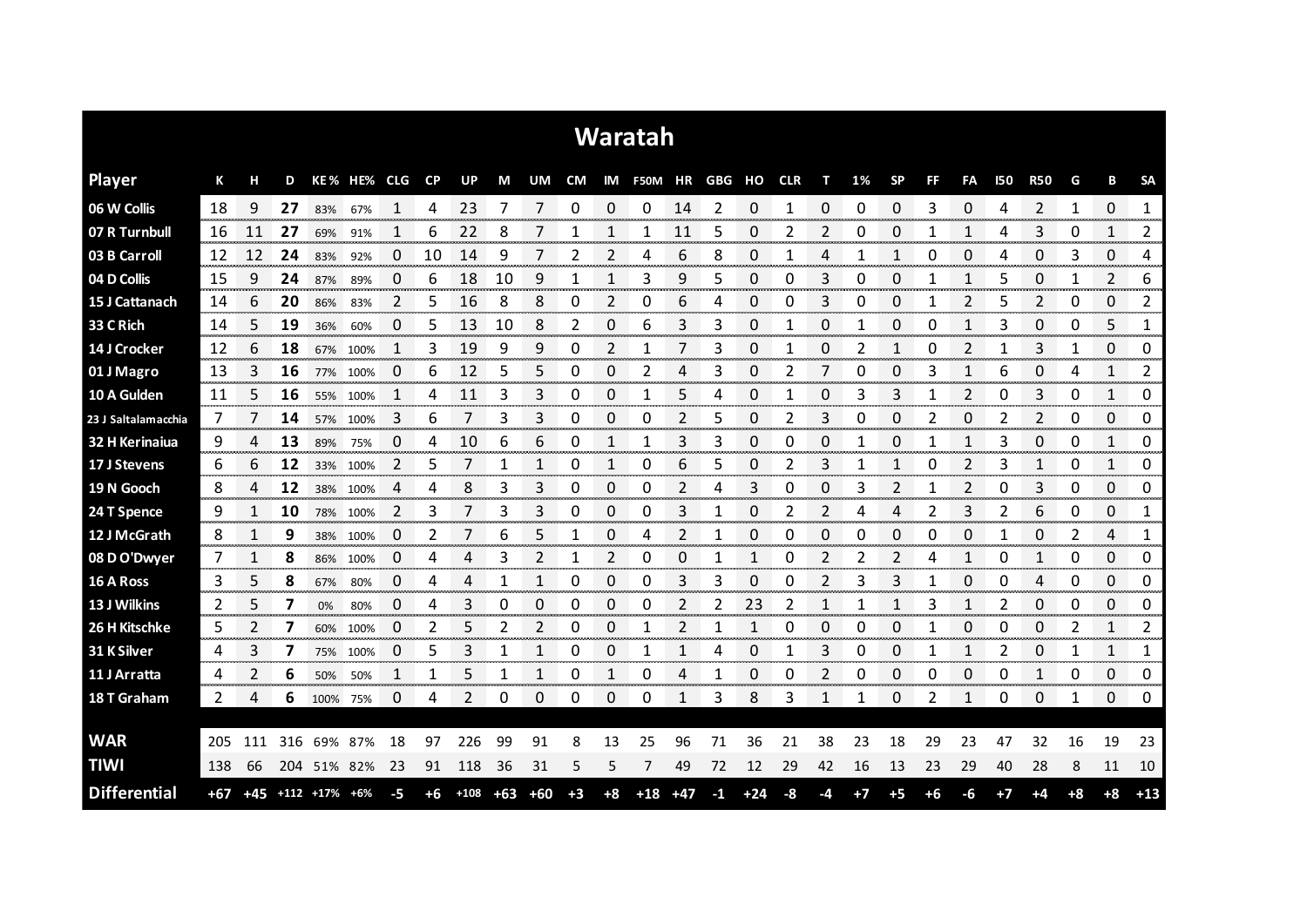| Waratah             |     |     |     |                             |             |                |           |                |       |       |      |                |                          |       |      |       |    |    |      |                |                |                |            |                |      |              |               |
|---------------------|-----|-----|-----|-----------------------------|-------------|----------------|-----------|----------------|-------|-------|------|----------------|--------------------------|-------|------|-------|----|----|------|----------------|----------------|----------------|------------|----------------|------|--------------|---------------|
| <b>Player</b>       | К   | н   | D   |                             | KE% HE% CLG |                | <b>CP</b> | UP             | M     | UM    |      |                | CM IM F50M HR GBG HO CLR |       |      |       |    | т  | 1%   | <b>SP</b>      | <b>FF</b>      | FA             | <b>I50</b> | <b>R50</b>     | G    | В            | <b>SA</b>     |
| 06 W Collis         | 18  | 9   | 27  | 83%                         | 67%         |                | 4         | 23             |       | 7     | 0    | 0              | 0                        | 14    | 2    | 0     |    | 0  | 0    | 0              | 3              | 0              | 4          | 2              | 1    | 0            | 1             |
| 07 R Turnbull       | 16  | 11  | 27  | 69%                         | 91%         |                | 6         | 22             | 8     |       |      |                |                          | 11    | 5    | 0     | 2  | 2  | 0    | 0              |                |                | 4          | 3              | 0    | 1            | 2             |
| 03 B Carroll        | 12  | 12  | 24  | 83%                         | 92%         | 0              | 10        | 14             | 9     | 7     | 2    | 2              | 4                        | 6     | 8    | 0     |    | 4  |      | 1              | 0              | 0              | 4          | 0              | 3    | 0            | 4             |
| 04 D Collis         | 15  | 9   | 24  | 87%                         | 89%         | 0              | 6         | 18             | 10    | 9     | 1    | 1              | 3                        | 9     | 5    | 0     | 0  | 3  | 0    | 0              |                | 1              | 5          | 0              | 1    | 2            | 6             |
| 15 J Cattanach      | 14  | 6   | 20  | 86%                         | 83%         | $\overline{2}$ | 5         | 16             | 8     | 8     | 0    | $\overline{2}$ | 0                        | 6     | 4    | 0     | 0  | 3  | 0    | 0              | 1              | $\overline{2}$ | 5          | $\overline{2}$ | 0    | 0            | 2             |
| 33 C Rich           | 14  | 5   | 19  | 36%                         | 60%         | 0              | 5         | 13             | 10    | 8     | 2    | 0              | 6                        | 3     | 3    | 0     | 1  | 0  | 1    | 0              | 0              | 1              | 3          | 0              | 0    | 5            | 1             |
| 14 J Crocker        | 12  | 6   | 18  | 67%                         | 100%        | 1              | 3         | 19             | 9     | 9     | 0    | 2              | 1                        | 7     | 3    | 0     |    | 0  | 2    | 1              | 0              | 2              |            | 3              | 1    | 0            | 0             |
| 01 J Magro          | 13  | 3   | 16  | 77%                         | 100%        | 0              | 6         | 12             | 5     | 5     | 0    | 0              | 2                        | 4     | 3    | 0     | 2  | 7  | 0    | 0              | 3              | 1              | 6          | 0              | 4    | 1            | 2             |
| 10 A Gulden         | 11  | 5   | 16  |                             | 55% 100%    | 1              | 4         | 11             | 3     | 3     | 0    | 0              | 1                        | 5     | 4    | 0     | 1  | 0  | 3    | 3              | 1              | $\overline{2}$ | 0          | 3              | 0    | $\mathbf{1}$ | 0             |
| 23 J Saltalamacchia | 7   |     | 14  | 57%                         | 100%        | 3              | 6         | 7              | 3     | 3     | 0    | 0              | 0                        | 2     | 5    | 0     | 2  | 3  | 0    | 0              | 2              | 0              | 2          | 2              | 0    | 0            | 0             |
| 32 H Kerinaiua      | 9   | 4   | 13  | 89%                         | 75%         | 0              | 4         | 10             | 6     | 6     | 0    | 1              | 1                        | 3     | 3    | 0     | 0  | 0  |      | 0              |                | 1              | 3          | 0              | 0    | 1            | 0             |
| 17 J Stevens        | 6   | 6   | 12  |                             | 33% 100%    | 2              | 5         |                | 1     | 1     | 0    | 1              | 0                        | 6     | 5    | 0     | 2  | 3  |      | 1              | 0              | 2              | 3          | 1              | 0    | 1            | 0             |
| 19 N Gooch          | 8   | 4   | 12  |                             | 38% 100%    | 4              | 4         | 8              | 3     | 3     | 0    | 0              | 0                        | 2     | 4    | 3     | 0  | 0  | 3    | $\overline{2}$ | 1              | 2              | 0          | 3              | 0    | 0            | 0             |
| 24 T Spence         | 9   |     | 10  | 78%                         | 100%        | 2              | 3         |                | 3     | 3     | 0    | 0              | 0                        | 3     |      | 0     |    | 2  | Δ    | Δ              |                | 3              | 2          | 6              | 0    | 0            | 1<br>onomo e  |
| 12 J McGrath        | 8   |     | 9   | 38%                         | 100%        | 0              | 2         |                | 6     | 5     |      | 0              | 4                        | 2     |      | 0     | 0  | 0  | 0    | 0              | 0              | 0              |            | 0<br>ana mana  | 2    | 4            | 1<br>www.com  |
| 08 D O'Dwyer        | 7   |     | 8   | 86%                         | 100%        | O              |           |                | 3     |       |      | 2<br>annon a   | 0                        | O     |      |       | Ω  |    |      |                |                |                |            | omorono        | 0    | 0<br>manan a | 0<br>wanan ma |
| 16 A Ross           | 3   | 5   | 8   | 67%                         | 80%         | 0              | 4         | 4              | 1     | 1     | 0    | 0              | 0                        | 3     | 3    | 0     | 0  | 2  | 3    | 3              |                | 0              | 0          | 4              | 0    | 0            | 0             |
| 13 J Wilkins        | 2   | 5   |     | 0%                          | 80%         | 0              | 4         | 3              | 0     | 0     | 0    | 0              | 0                        | 2     |      | 23    |    |    |      |                |                |                |            | 0              | 0    | 0            | 0             |
| 26 H Kitschke       | 5   |     | 7   | 60%                         | 100%        | 0              | 2         | 5              | 2     | 2     | 0    | 0              |                          | 2     |      | 1     | O  | 0  | 0    | 0              |                | 0              | 0          | 0              | 2    | 1            | 2             |
| 31 K Silver         | 4   | 3   | 7   |                             | 75% 100%    | 0              | 5         | 3              | 1     | 1     | 0    | 0              | 1                        |       | 4    | 0     |    | 3  | 0    | 0              |                | 1              | 2          | 0              | 1    | 1            | 1             |
| 11 J Arratta        | 4   | 2   | 6   | 50%                         | 50%         | 1              | 1         | 5              | 1     | 1     | 0    | 1              | 0                        | 4     | 1    | 0     | 0  | 2  | 0    | 0              | 0              | 0              | 0          | 1              | 0    | 0            | 0             |
| 18 T Graham         | 2   | 4   | 6   | 100%                        | 75%         | 0              | 4         | $\mathfrak{p}$ | 0     | 0     | 0    | 0              | 0                        | 1     | 3    | 8     | 3  | 1  | 1    | 0              | $\overline{2}$ | 1              | 0          | 0              | 1    | 0            | 0             |
|                     |     |     |     |                             |             |                |           |                |       |       |      |                |                          |       |      |       |    |    |      |                |                |                |            |                |      |              |               |
| <b>WAR</b>          | 205 | 111 | 316 | 69%                         | 87%         | 18             | 97        | 226            | 99    | 91    | 8    | 13             | 25                       | 96    | 71   | 36    | 21 | 38 | 23   | 18             | 29             | 23             | 47         | 32             | 16   | 19           | 23            |
| <b>TIWI</b>         | 138 | 66  |     | 204 51% 82%                 |             | 23             | 91        | 118            | 36    | 31    | 5    | 5              | 7                        | 49    | 72   | 12    | 29 | 42 | 16   | 13             | 23             | 29             | 40         | 28             | 8    | 11           | 10            |
| <b>Differential</b> | +67 |     |     | $+45$ $+112$ $+17\%$ $+6\%$ |             | -5             | $+6$      | $+108$         | $+63$ | $+60$ | $+3$ | $+8$           | $+18$                    | $+47$ | $-1$ | $+24$ | -8 | -4 | $+7$ | $+5$           | $+6$           | -6             | $+7$       | $+4$           | $+8$ | $+8$         | $+13$         |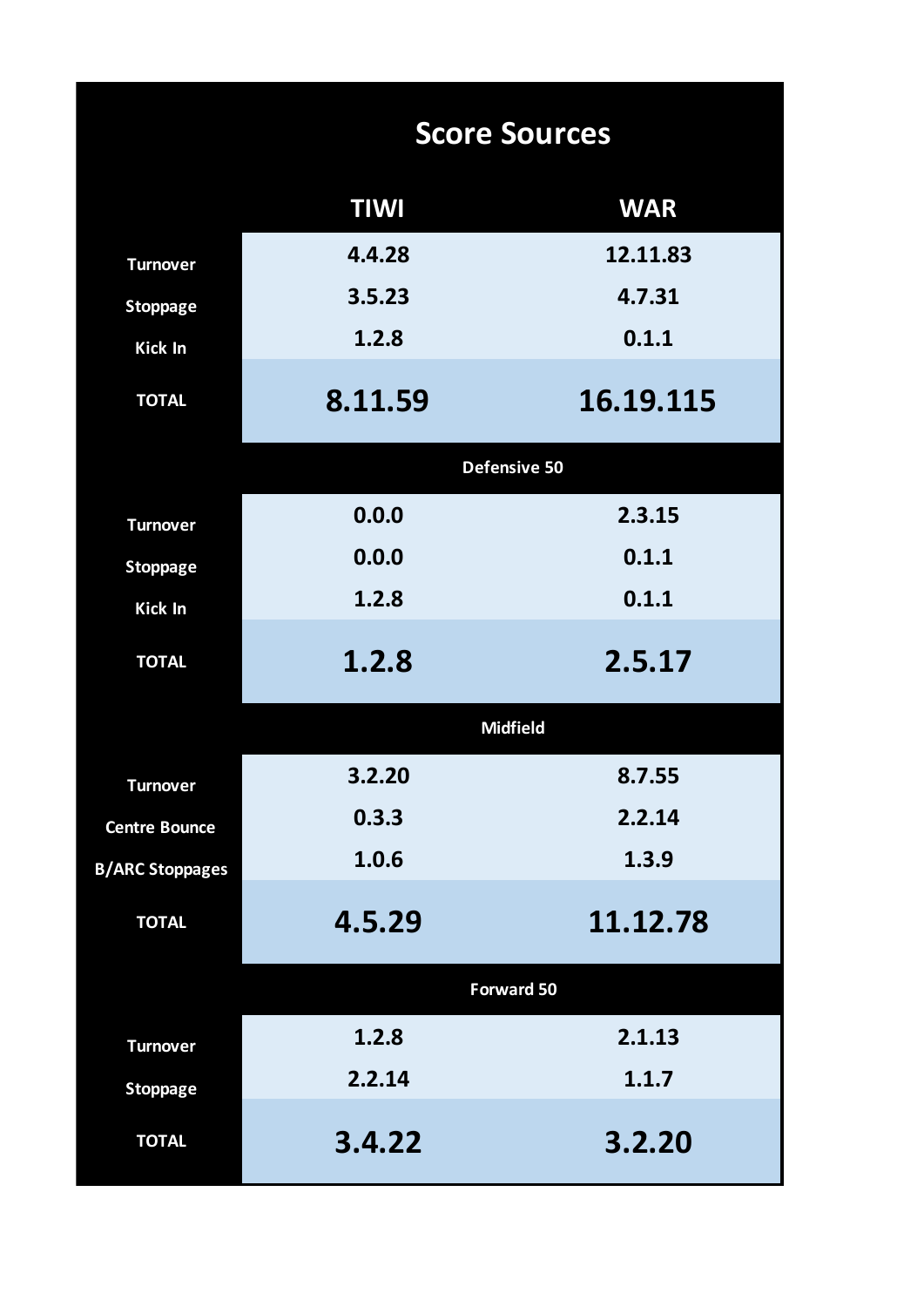|                        | <b>Score Sources</b> |                 |  |  |  |  |  |  |  |  |  |
|------------------------|----------------------|-----------------|--|--|--|--|--|--|--|--|--|
|                        | <b>TIWI</b>          | <b>WAR</b>      |  |  |  |  |  |  |  |  |  |
| <b>Turnover</b>        | 4.4.28               | 12.11.83        |  |  |  |  |  |  |  |  |  |
| <b>Stoppage</b>        | 3.5.23               | 4.7.31          |  |  |  |  |  |  |  |  |  |
| <b>Kick In</b>         | 1.2.8                | 0.1.1           |  |  |  |  |  |  |  |  |  |
| <b>TOTAL</b>           | 8.11.59              | 16.19.115       |  |  |  |  |  |  |  |  |  |
|                        |                      | Defensive 50    |  |  |  |  |  |  |  |  |  |
| <b>Turnover</b>        | 0.0.0                | 2.3.15          |  |  |  |  |  |  |  |  |  |
| <b>Stoppage</b>        | 0.0.0                | 0.1.1           |  |  |  |  |  |  |  |  |  |
| Kick In                | 1.2.8                | 0.1.1           |  |  |  |  |  |  |  |  |  |
| <b>TOTAL</b>           | 1.2.8                | 2.5.17          |  |  |  |  |  |  |  |  |  |
|                        |                      | <b>Midfield</b> |  |  |  |  |  |  |  |  |  |
| <b>Turnover</b>        | 3.2.20               | 8.7.55          |  |  |  |  |  |  |  |  |  |
| <b>Centre Bounce</b>   | 0.3.3                | 2.2.14          |  |  |  |  |  |  |  |  |  |
| <b>B/ARC Stoppages</b> | 1.0.6                | 1.3.9           |  |  |  |  |  |  |  |  |  |
| <b>TOTAL</b>           | 4.5.29               | 11.12.78        |  |  |  |  |  |  |  |  |  |
|                        |                      | Forward 50      |  |  |  |  |  |  |  |  |  |
| <b>Turnover</b>        | 1.2.8                | 2.1.13          |  |  |  |  |  |  |  |  |  |
| <b>Stoppage</b>        | 2.2.14               | 1.1.7           |  |  |  |  |  |  |  |  |  |
| <b>TOTAL</b>           | 3.4.22               | 3.2.20          |  |  |  |  |  |  |  |  |  |